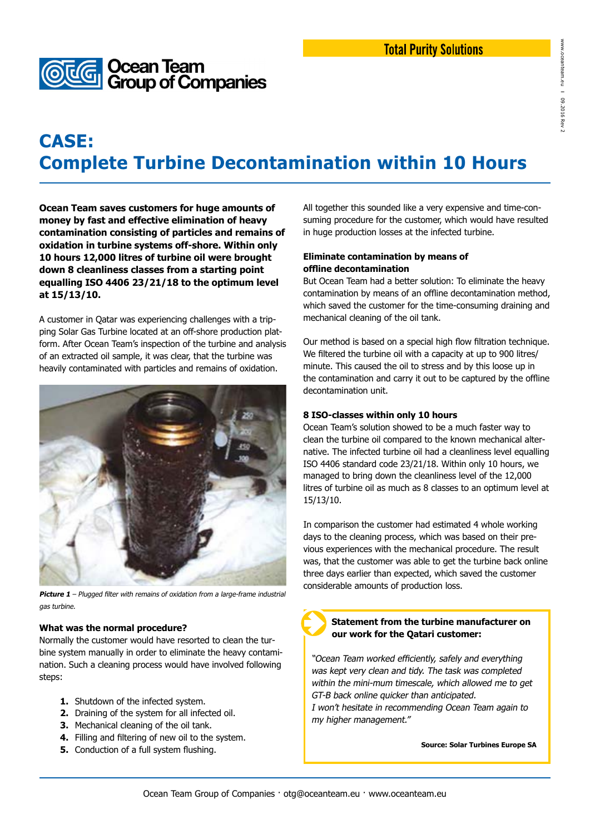

# **CASE: Complete Turbine Decontamination within 10 Hours**

**Ocean Team saves customers for huge amounts of money by fast and effective elimination of heavy contamination consisting of particles and remains of oxidation in turbine systems off-shore. Within only 10 hours 12,000 litres of turbine oil were brought down 8 cleanliness classes from a starting point equalling ISO 4406 23/21/18 to the optimum level at 15/13/10.**

A customer in Qatar was experiencing challenges with a tripping Solar Gas Turbine located at an off-shore production platform. After Ocean Team's inspection of the turbine and analysis of an extracted oil sample, it was clear, that the turbine was heavily contaminated with particles and remains of oxidation.



Picture 1 - Plugged filter with remains of oxidation from a large-frame industrial gas turbine.

#### **What was the normal procedure?**

Normally the customer would have resorted to clean the turbine system manually in order to eliminate the heavy contamination. Such a cleaning process would have involved following steps:

- **1.** Shutdown of the infected system.
- **2.** Draining of the system for all infected oil.
- **3.** Mechanical cleaning of the oil tank.
- **4.** Filling and filtering of new oil to the system.
- **5.** Conduction of a full system flushing.

All together this sounded like a very expensive and time-consuming procedure for the customer, which would have resulted in huge production losses at the infected turbine.

#### **Eliminate contamination by means of offline decontamination**

But Ocean Team had a better solution: To eliminate the heavy contamination by means of an offline decontamination method, which saved the customer for the time-consuming draining and mechanical cleaning of the oil tank.

Our method is based on a special high flow filtration technique. We filtered the turbine oil with a capacity at up to 900 litres/ minute. This caused the oil to stress and by this loose up in the contamination and carry it out to be captured by the offline decontamination unit.

#### **8 ISO-classes within only 10 hours**

Ocean Team's solution showed to be a much faster way to clean the turbine oil compared to the known mechanical alternative. The infected turbine oil had a cleanliness level equalling ISO 4406 standard code 23/21/18. Within only 10 hours, we managed to bring down the cleanliness level of the 12,000 litres of turbine oil as much as 8 classes to an optimum level at 15/13/10.

In comparison the customer had estimated 4 whole working days to the cleaning process, which was based on their previous experiences with the mechanical procedure. The result was, that the customer was able to get the turbine back online three days earlier than expected, which saved the customer considerable amounts of production loss.

### **Statement from the turbine manufacturer on our work for the Qatari customer:**

 "Ocean Team worked efficiently, safely and everything was kept very clean and tidy. The task was completed within the mini-mum timescale, which allowed me to get GT-B back online quicker than anticipated. I won't hesitate in recommending Ocean Team again to my higher management."

**Source: Solar Turbines Europe SA**